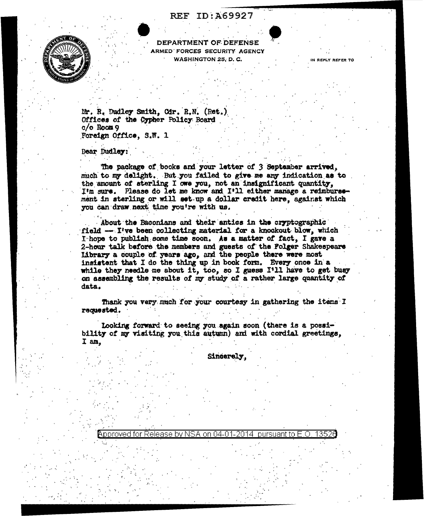## **REF ID:A69927**



DEPARTMENT OF DEFENSE ARMED FORCES SECURITY AGENCY WASHINGTON 25, D.C.

IN REPLY REFER TO

1352)

pursuant to E.O.

Mr. R. Dudley Smith, Cdr. R.N. (Ret.) Offices of the Cypher Policy Board  $c/o$  Room 9 Foreign Office, S.W. 1

Dear Dudley:

The package of books and your letter of 3 September arrived, much to my delight. But you failed to give me any indication as to the amount of sterling I owe you, not an insignificant quantity, I'm sure. Please do let me know and I'll either manage a reimbursement in sterling or will set up a dollar credit here, against which you can draw next time you're with us.

About the Baconians and their antics in the cryptographic field -- I've been collecting material for a knockout blow, which I-hope to publish some time soon. As a matter of fact, I gave a 2-hour talk before the members and guests of the Folger Shakespeare Library a couple of years ago, and the people there were most insistent that I do the thing up in book form. Every once in a while they needle me about it, too, so I guess I'll have to get busy on assembling the results of my study of a rather large quantity of data.

Thank you very much for your courtesy in gathering the items I requested.

Looking forward to seeing you again soon (there is a possibility of my visiting you this autumn) and with cordial greetings, I am.

Approved for Release by NSA on 04-01-2014

Sincerely.